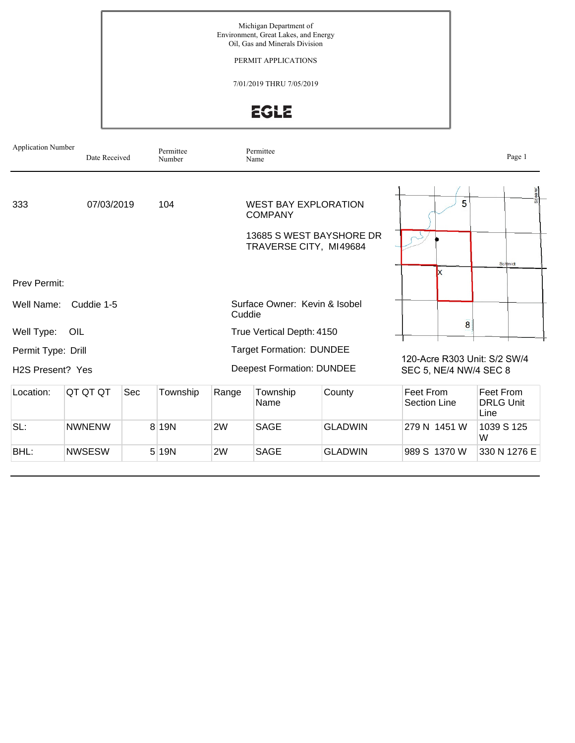Michigan Department of Environment, Great Lakes, and Energy Oil, Gas and Minerals Division

PERMIT APPLICATIONS

7/01/2019 THRU 7/05/2019

**EGLE** 

| <b>Application Number</b><br>Date Received |                             | Permittee<br>Number |       | Permittee<br>Name                       |                                                                                                     |                | Page 1                                                 |                                       |  |  |
|--------------------------------------------|-----------------------------|---------------------|-------|-----------------------------------------|-----------------------------------------------------------------------------------------------------|----------------|--------------------------------------------------------|---------------------------------------|--|--|
| 333                                        | 07/03/2019                  |                     | 104   |                                         | <b>WEST BAY EXPLORATION</b><br><b>COMPANY</b><br>13685 S WEST BAYSHORE DR<br>TRAVERSE CITY, MI49684 |                | 5                                                      | earer<br>Schmidt                      |  |  |
| <b>Prev Permit:</b>                        |                             |                     |       |                                         |                                                                                                     |                |                                                        |                                       |  |  |
| Well Name:                                 | Cuddie 1-5                  |                     |       | Surface Owner: Kevin & Isobel<br>Cuddie |                                                                                                     |                |                                                        |                                       |  |  |
| Well Type:                                 | OIL                         |                     |       |                                         | True Vertical Depth: 4150                                                                           |                | $\overline{\mathbf{8}}$                                |                                       |  |  |
| Permit Type: Drill<br>H2S Present? Yes     |                             |                     |       |                                         | <b>Target Formation: DUNDEE</b><br><b>Deepest Formation: DUNDEE</b>                                 |                | 120-Acre R303 Unit: S/2 SW/4<br>SEC 5, NE/4 NW/4 SEC 8 |                                       |  |  |
| Location:                                  | QT QT QT<br>Sec<br>Township |                     |       | Range                                   | Township<br>County<br>Name                                                                          |                | Feet From<br><b>Section Line</b>                       | Feet From<br><b>DRLG Unit</b><br>Line |  |  |
| SL:                                        | <b>NWNENW</b>               |                     | 8 19N | 2W                                      | <b>SAGE</b>                                                                                         | <b>GLADWIN</b> | 279 N 1451 W                                           | 1039 S 125<br>W                       |  |  |
| BHL:                                       | <b>NWSESW</b>               |                     | 5 19N | 2W                                      | <b>SAGE</b>                                                                                         | <b>GLADWIN</b> | 989 S 1370 W                                           | 330 N 1276 E                          |  |  |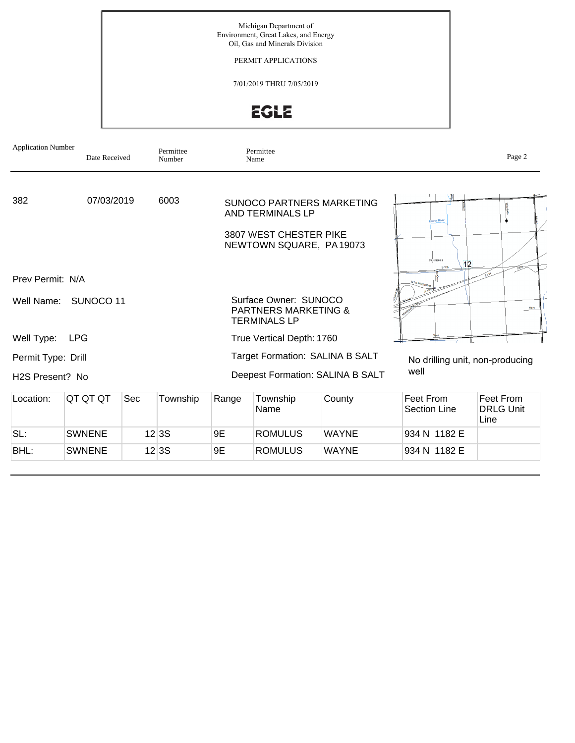Michigan Department of Environment, Great Lakes, and Energy Oil, Gas and Minerals Division

PERMIT APPLICATIONS

7/01/2019 THRU 7/05/2019

**EGLE** 

| <b>Application Number</b>    | Date Received |     | Permittee<br>Number |                                 | Permittee<br>Name                                                               |                                  |                                  | Page 2                                |  |
|------------------------------|---------------|-----|---------------------|---------------------------------|---------------------------------------------------------------------------------|----------------------------------|----------------------------------|---------------------------------------|--|
| 382                          | 07/03/2019    |     | 6003                |                                 | <b>AND TERMINALS LP</b><br>3807 WEST CHESTER PIKE                               | <b>SUNOCO PARTNERS MARKETING</b> | <b>Lorse River</b>               |                                       |  |
|                              |               |     |                     |                                 | NEWTOWN SQUARE, PA19073                                                         |                                  | TO'S SROPE<br>12                 |                                       |  |
| Prev Permit: N/A             |               |     |                     |                                 |                                                                                 |                                  | WI 941A                          |                                       |  |
| Well Name:                   | SUNOCO 11     |     |                     |                                 | Surface Owner: SUNOCO<br><b>PARTNERS MARKETING &amp;</b><br><b>TERMINALS LP</b> |                                  |                                  | Mary                                  |  |
| Well Type:                   | <b>LPG</b>    |     |                     |                                 | True Vertical Depth: 1760                                                       |                                  |                                  |                                       |  |
| Permit Type: Drill           |               |     |                     | Target Formation: SALINA B SALT |                                                                                 |                                  | No drilling unit, non-producing  |                                       |  |
| H <sub>2</sub> S Present? No |               |     |                     |                                 |                                                                                 | Deepest Formation: SALINA B SALT | well                             |                                       |  |
| Location:                    | QT QT QT      | Sec | Township            | Township<br>Range<br>Name       |                                                                                 | County                           | Feet From<br><b>Section Line</b> | Feet From<br><b>DRLG Unit</b><br>Line |  |
| SL:                          | <b>SWNENE</b> |     | 12 3S               | 9E                              | <b>ROMULUS</b>                                                                  | <b>WAYNE</b>                     | 934 N 1182 E                     |                                       |  |
| BHL:                         | <b>SWNENE</b> |     | 12 3S               | 9E                              | <b>ROMULUS</b>                                                                  | <b>WAYNE</b>                     | 934 N 1182 E                     |                                       |  |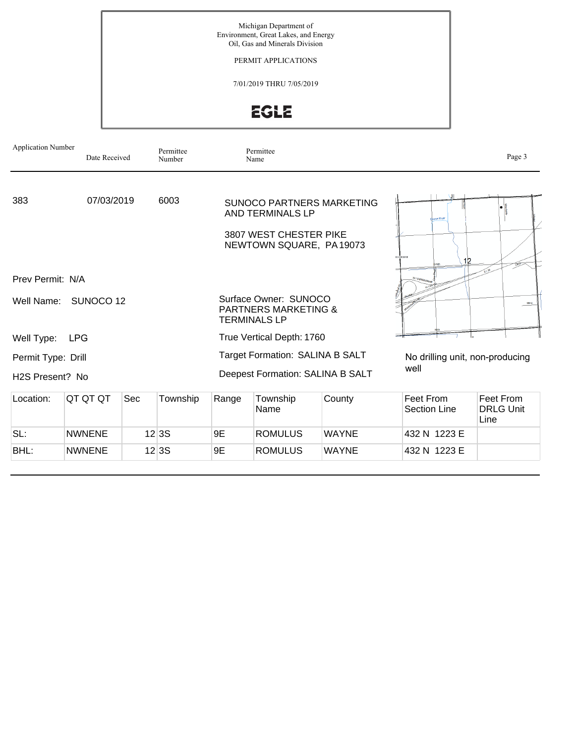Michigan Department of Environment, Great Lakes, and Energy Oil, Gas and Minerals Division

PERMIT APPLICATIONS

7/01/2019 THRU 7/05/2019

**EGLE** 

| <b>Application Number</b>    | Date Received |     | Permittee<br>Number |                                  | Permittee<br>Name                                                               |                           |                                  | Page 3                                |  |
|------------------------------|---------------|-----|---------------------|----------------------------------|---------------------------------------------------------------------------------|---------------------------|----------------------------------|---------------------------------------|--|
| 383                          | 07/03/2019    |     | 6003                |                                  | <b>AND TERMINALS LP</b><br>3807 WEST CHESTER PIKE<br>NEWTOWN SQUARE, PA19073    | SUNOCO PARTNERS MARKETING | porse River<br>03 SR09 E<br>12   |                                       |  |
| Prev Permit: N/A             |               |     |                     |                                  |                                                                                 |                           | WrsetMax                         |                                       |  |
| Well Name:                   | SUNOCO 12     |     |                     |                                  | Surface Owner: SUNOCO<br><b>PARTNERS MARKETING &amp;</b><br><b>TERMINALS LP</b> |                           |                                  | Mary                                  |  |
| Well Type:                   | <b>LPG</b>    |     |                     |                                  | True Vertical Depth: 1760                                                       |                           |                                  |                                       |  |
| Permit Type: Drill           |               |     |                     |                                  | Target Formation: SALINA B SALT                                                 |                           | No drilling unit, non-producing  |                                       |  |
| H <sub>2</sub> S Present? No |               |     |                     | Deepest Formation: SALINA B SALT |                                                                                 | well                      |                                  |                                       |  |
| Location:                    | QT QT QT      | Sec | Township            | Range                            | Township<br>Name                                                                | County                    | Feet From<br><b>Section Line</b> | Feet From<br><b>DRLG Unit</b><br>Line |  |
| SL:                          | <b>NWNENE</b> |     | 12 3S               | 9E                               | <b>ROMULUS</b>                                                                  | <b>WAYNE</b>              | 432 N 1223 E                     |                                       |  |
| BHL:                         | <b>NWNENE</b> |     | 12 3S               | 9E                               | <b>ROMULUS</b>                                                                  | <b>WAYNE</b>              | 432 N 1223 E                     |                                       |  |